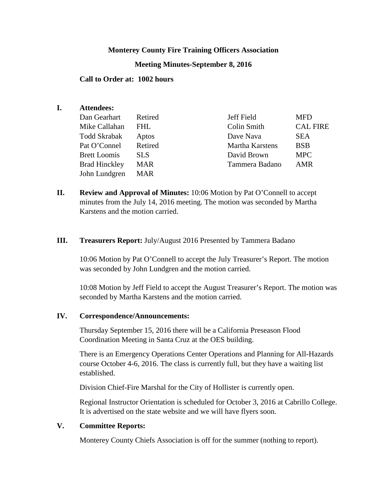## **Monterey County Fire Training Officers Association**

## **Meeting Minutes-September 8, 2016**

### **Call to Order at: 1002 hours**

#### **I. Attendees:**

| Dan Gearhart         | Retired    | Jeff Field             | <b>MFD</b>      |
|----------------------|------------|------------------------|-----------------|
| Mike Callahan        | <b>FHL</b> | Colin Smith            | <b>CAL FIRE</b> |
| <b>Todd Skrabak</b>  | Aptos      | Dave Nava              | <b>SEA</b>      |
| Pat O'Connel         | Retired    | <b>Martha Karstens</b> | <b>BSB</b>      |
| <b>Brett Loomis</b>  | <b>SLS</b> | David Brown            | <b>MPC</b>      |
| <b>Brad Hinckley</b> | <b>MAR</b> | Tammera Badano         | AMR             |
| John Lundgren        | <b>MAR</b> |                        |                 |
|                      |            |                        |                 |

- **II. Review and Approval of Minutes:** 10:06 Motion by Pat O'Connell to accept minutes from the July 14, 2016 meeting. The motion was seconded by Martha Karstens and the motion carried.
- **III. Treasurers Report:** July/August 2016 Presented by Tammera Badano

10:06 Motion by Pat O'Connell to accept the July Treasurer's Report. The motion was seconded by John Lundgren and the motion carried.

10:08 Motion by Jeff Field to accept the August Treasurer's Report. The motion was seconded by Martha Karstens and the motion carried.

### **IV. Correspondence/Announcements:**

Thursday September 15, 2016 there will be a California Preseason Flood Coordination Meeting in Santa Cruz at the OES building.

There is an Emergency Operations Center Operations and Planning for All-Hazards course October 4-6, 2016. The class is currently full, but they have a waiting list established.

Division Chief-Fire Marshal for the City of Hollister is currently open.

Regional Instructor Orientation is scheduled for October 3, 2016 at Cabrillo College. It is advertised on the state website and we will have flyers soon.

# **V. Committee Reports:**

Monterey County Chiefs Association is off for the summer (nothing to report).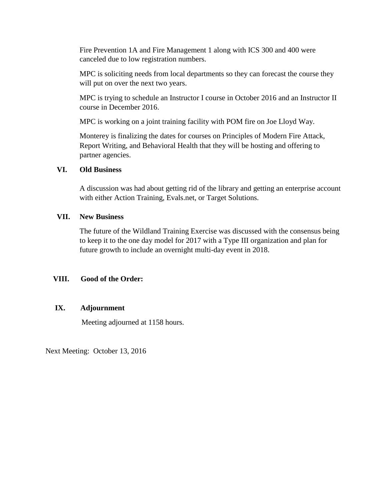Fire Prevention 1A and Fire Management 1 along with ICS 300 and 400 were canceled due to low registration numbers.

MPC is soliciting needs from local departments so they can forecast the course they will put on over the next two years.

MPC is trying to schedule an Instructor I course in October 2016 and an Instructor II course in December 2016.

MPC is working on a joint training facility with POM fire on Joe Lloyd Way.

Monterey is finalizing the dates for courses on Principles of Modern Fire Attack, Report Writing, and Behavioral Health that they will be hosting and offering to partner agencies.

## **VI. Old Business**

A discussion was had about getting rid of the library and getting an enterprise account with either Action Training, Evals.net, or Target Solutions.

## **VII. New Business**

The future of the Wildland Training Exercise was discussed with the consensus being to keep it to the one day model for 2017 with a Type III organization and plan for future growth to include an overnight multi-day event in 2018.

# **VIII. Good of the Order:**

# **IX. Adjournment**

Meeting adjourned at 1158 hours.

Next Meeting: October 13, 2016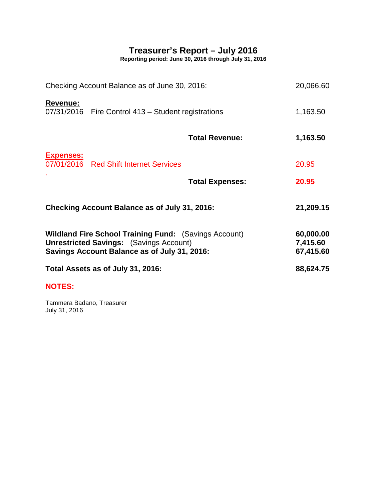# **Treasurer's Report – July 2016**

**Reporting period: June 30, 2016 through July 31, 2016** 

| Checking Account Balance as of June 30, 2016:                                                                                                                  |                                                     |                                    | 20,066.60 |
|----------------------------------------------------------------------------------------------------------------------------------------------------------------|-----------------------------------------------------|------------------------------------|-----------|
| Revenue:                                                                                                                                                       | 07/31/2016 Fire Control 413 - Student registrations |                                    | 1,163.50  |
|                                                                                                                                                                |                                                     | <b>Total Revenue:</b>              | 1,163.50  |
| <b>Expenses:</b>                                                                                                                                               | 07/01/2016 Red Shift Internet Services              | 20.95                              |           |
|                                                                                                                                                                |                                                     | <b>Total Expenses:</b>             | 20.95     |
| <b>Checking Account Balance as of July 31, 2016:</b>                                                                                                           |                                                     |                                    | 21,209.15 |
| <b>Wildland Fire School Training Fund:</b> (Savings Account)<br><b>Unrestricted Savings: (Savings Account)</b><br>Savings Account Balance as of July 31, 2016: |                                                     | 60,000.00<br>7,415.60<br>67,415.60 |           |
| Total Assets as of July 31, 2016:                                                                                                                              |                                                     |                                    | 88,624.75 |

# **NOTES:**

Tammera Badano, Treasurer July 31, 2016